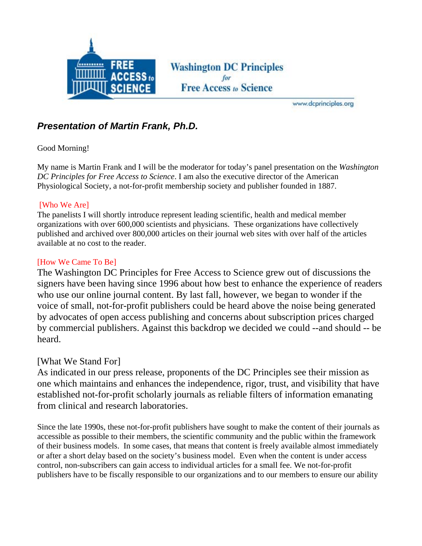

**Washington DC Principles Free Access to Science** 

www.dcprinciples.org

# *Presentation of Martin Frank, Ph.D.*

#### Good Morning!

My name is Martin Frank and I will be the moderator for today's panel presentation on the *Washington DC Principles for Free Access to Science*. I am also the executive director of the American Physiological Society, a not-for-profit membership society and publisher founded in 1887.

#### [Who We Are]

The panelists I will shortly introduce represent leading scientific, health and medical member organizations with over 600,000 scientists and physicians. These organizations have collectively published and archived over 800,000 articles on their journal web sites with over half of the articles available at no cost to the reader.

### [How We Came To Be]

The Washington DC Principles for Free Access to Science grew out of discussions the signers have been having since 1996 about how best to enhance the experience of readers who use our online journal content. By last fall, however, we began to wonder if the voice of small, not-for-profit publishers could be heard above the noise being generated by advocates of open access publishing and concerns about subscription prices charged by commercial publishers. Against this backdrop we decided we could --and should -- be heard.

## [What We Stand For]

As indicated in our press release, proponents of the DC Principles see their mission as one which maintains and enhances the independence, rigor, trust, and visibility that have established not-for-profit scholarly journals as reliable filters of information emanating from clinical and research laboratories.

Since the late 1990s, these not-for-profit publishers have sought to make the content of their journals as accessible as possible to their members, the scientific community and the public within the framework of their business models. In some cases, that means that content is freely available almost immediately or after a short delay based on the society's business model. Even when the content is under access control, non-subscribers can gain access to individual articles for a small fee. We not-for-profit publishers have to be fiscally responsible to our organizations and to our members to ensure our ability